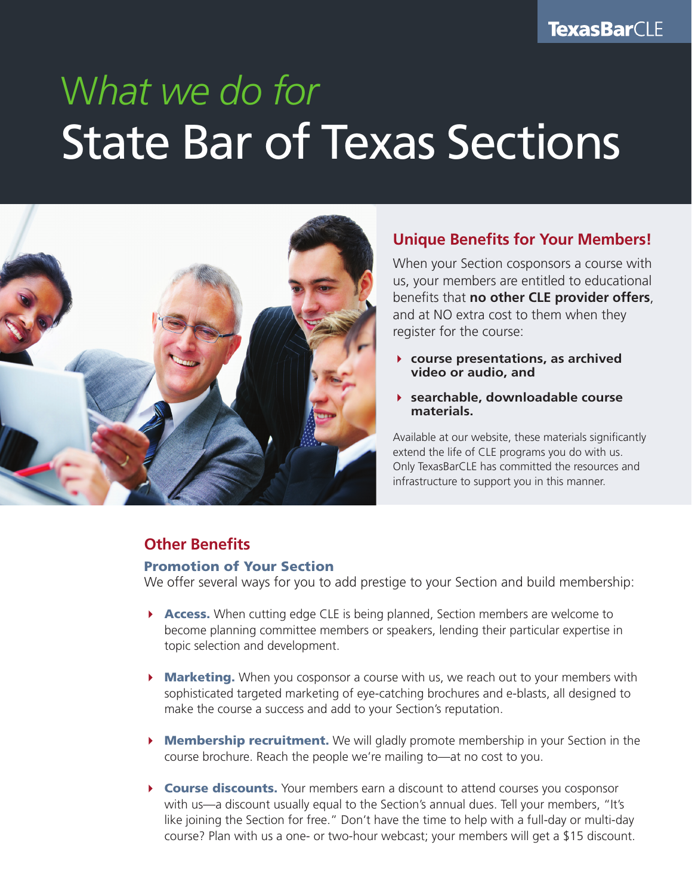# W*hat we do for*  State Bar of Texas Sections



# **Unique Benefits for Your Members!**

When your Section cosponsors a course with us, your members are entitled to educational benefits that **no other CLE provider offers**, and at NO extra cost to them when they register for the course:

- 4 **course presentations, as archived video or audio, and**
- 4 **searchable, downloadable course materials.**

Available at our website, these materials significantly extend the life of CLE programs you do with us. Only TexasBarCLE has committed the resources and infrastructure to support you in this manner.

## **Other Benefits**

## Promotion of Your Section

We offer several ways for you to add prestige to your Section and build membership:

- $\triangleright$  **Access.** When cutting edge CLE is being planned, Section members are welcome to become planning committee members or speakers, lending their particular expertise in topic selection and development.
- $\triangleright$  **Marketing.** When you cosponsor a course with us, we reach out to your members with sophisticated targeted marketing of eye-catching brochures and e-blasts, all designed to make the course a success and add to your Section's reputation.
- $\triangleright$  **Membership recruitment.** We will gladly promote membership in your Section in the course brochure. Reach the people we're mailing to—at no cost to you.
- **Example 3 Course discounts.** Your members earn a discount to attend courses you cosponsor with us—a discount usually equal to the Section's annual dues. Tell your members, "It's like joining the Section for free." Don't have the time to help with a full-day or multi-day course? Plan with us a one- or two-hour webcast; your members will get a \$15 discount.